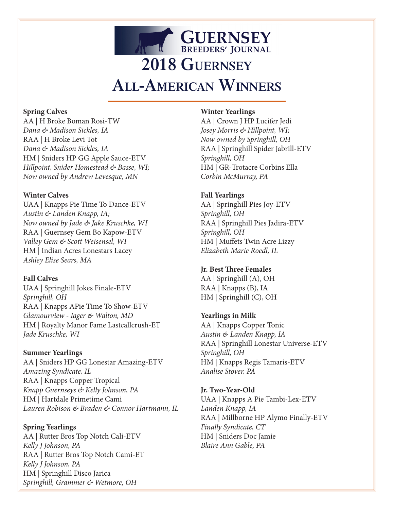# **GUERNSEY 2018 Guernsey All-American Winners**

#### **Spring Calves**

AA | H Broke Boman Rosi-TW *Dana & Madison Sickles, IA* RAA | H Broke Levi Tot *Dana & Madison Sickles, IA* HM | Sniders HP GG Apple Sauce-ETV *Hillpoint, Snider Homestead & Basse, WI; Now owned by Andrew Levesque, MN*

#### **Winter Calves**

UAA | Knapps Pie Time To Dance-ETV *Austin & Landen Knapp, IA; Now owned by Jade & Jake Kruschke, WI* RAA | Guernsey Gem Bo Kapow-ETV *Valley Gem & Scott Weisensel, WI* HM | Indian Acres Lonestars Lacey *Ashley Elise Sears, MA*

## **Fall Calves**

UAA | Springhill Jokes Finale-ETV *Springhill, OH* RAA | Knapps APie Time To Show-ETV *Glamourview - Iager & Walton, MD* HM | Royalty Manor Fame Lastcallcrush-ET *Jade Kruschke, WI*

## **Summer Yearlings**

AA | Sniders HP GG Lonestar Amazing-ETV *Amazing Syndicate, IL* RAA | Knapps Copper Tropical *Knapp Guernseys & Kelly Johnson, PA* HM | Hartdale Primetime Cami *Lauren Robison & Braden & Connor Hartmann, IL*

**Spring Yearlings** AA | Rutter Bros Top Notch Cali-ETV *Kelly J Johnson, PA* RAA | Rutter Bros Top Notch Cami-ET *Kelly J Johnson, PA* HM | Springhill Disco Jarica *Springhill, Grammer & Wetmore, OH*

#### **Winter Yearlings**

AA | Crown J HP Lucifer Jedi *Josey Morris & Hillpoint, WI; Now owned by Springhill, OH* RAA | Springhill Spider Jabrill-ETV *Springhill, OH* HM | GR-Trotacre Corbins Ella *Corbin McMurray, PA*

## **Fall Yearlings**

AA | Springhill Pies Joy-ETV *Springhill, OH* RAA | Springhill Pies Jadira-ETV *Springhill, OH* HM | Muffets Twin Acre Lizzy *Elizabeth Marie Roedl, IL*

## **Jr. Best Three Females**

AA | Springhill (A), OH RAA | Knapps (B), IA HM | Springhill (C), OH

## **Yearlings in Milk**

AA | Knapps Copper Tonic *Austin & Landen Knapp, IA* RAA | Springhill Lonestar Universe-ETV *Springhill, OH* HM | Knapps Regis Tamaris-ETV *Analise Stover, PA*

**Jr. Two-Year-Old** UAA | Knapps A Pie Tambi-Lex-ETV *Landen Knapp, IA* RAA | Millborne HP Alymo Finally-ETV *Finally Syndicate, CT*  HM | Sniders Doc Jamie *Blaire Ann Gable, PA*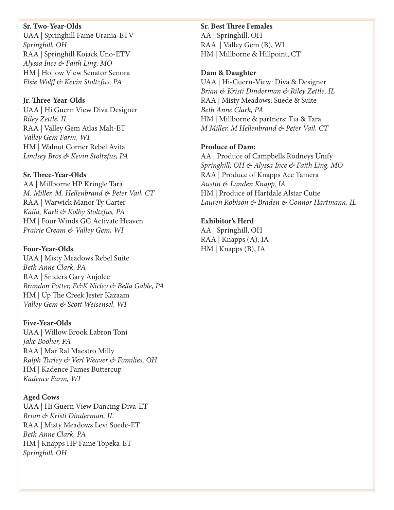#### **Sr. Two-Year-Olds**

UAA | Springhill Fame Urania-ETV *Springhill, OH* RAA | Springhill Kojack Uno-ETV *Alyssa Ince & Faith Ling, MO* HM | Hollow View Senator Senora *Elsie Wolff & Kevin Stoltzfus, PA*

#### **Jr. Three-Year-Olds**

UAA | Hi Guern View Diva Designer *Riley Zettle, IL* RAA | Valley Gem Atlas Malt-ET *Valley Gem Farm, WI* HM | Walnut Corner Rebel Avita *Lindsey Bros & Kevin Stoltzfus, PA*

#### **Sr. Three-Year-Olds**

AA | Millborne HP Kringle Tara *M. Miller, M. Hellenbrand & Peter Vail, CT* RAA | Warwick Manor Ty Carter *Kaila, Karli & Kolby Stoltzfus, PA* HM | Four Winds GG Activate Heaven *Prairie Cream & Valley Gem, WI*

#### **Four-Year-Olds**

UAA | Misty Meadows Rebel Suite *Beth Anne Clark, PA* RAA | Sniders Gary Anjolee *Brandon Potter, E&K Nicley & Bella Gable, PA* HM | Up The Creek Jester Kazaam *Valley Gem & Scott Weisensel, WI*

## **Five-Year-Olds**

UAA | Willow Brook Labron Toni *Jake Booher, PA* RAA | Mar Ral Maestro Milly *Ralph Turley & Verl Weaver & Families, OH* HM | Kadence Fames Buttercup *Kadence Farm, WI*

## **Aged Cows**

UAA | Hi Guern View Dancing Diva-ET *Brian & Kristi Dinderman, IL* RAA | Misty Meadows Levi Suede-ET *Beth Anne Clark, PA* HM | Knapps HP Fame Topeka-ET *Springhill, OH*

#### **Sr. Best Three Females**

AA | Springhill, OH RAA | Valley Gem (B), WI HM | Millborne & Hillpoint, CT

#### **Dam & Daughter**

UAA | Hi-Guern-View: Diva & Designer *Brian & Kristi Dinderman & Riley Zettle, IL* RAA | Misty Meadows: Suede & Suite *Beth Anne Clark, PA* HM | Millborne & partners: Tia & Tara *M Miller, M Hellenbrand & Peter Vail, CT*

## **Produce of Dam:**

AA | Produce of Campbells Rodneys Unify *Springhill, OH & Alyssa Ince & Faith Ling, MO* RAA | Produce of Knapps Ace Tamera *Austin & Landen Knapp, IA* HM | Produce of Hartdale Alstar Cutie *Lauren Robison & Braden & Connor Hartmann, IL*

## **Exhibitor's Herd**

AA | Springhill, OH RAA | Knapps (A), IA HM | Knapps (B), IA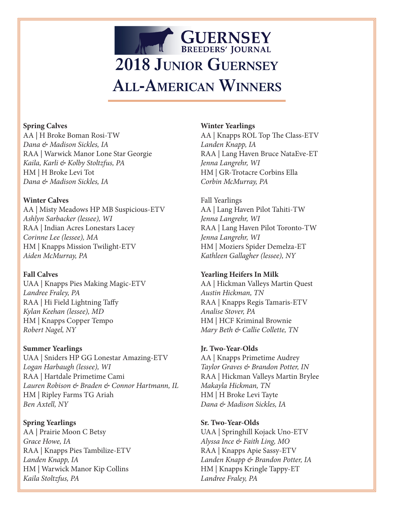# **GUERNSEY 2018 Junior Guernsey All-American Winners**

# **Spring Calves**

AA | H Broke Boman Rosi-TW *Dana & Madison Sickles, IA* RAA | Warwick Manor Lone Star Georgie *Kaila, Karli & Kolby Stoltzfus, PA* HM | H Broke Levi Tot *Dana & Madison Sickles, IA*

# **Winter Calves**

AA | Misty Meadows HP MB Suspicious-ETV *Ashlyn Sarbacker (lessee), WI* RAA | Indian Acres Lonestars Lacey *Corinne Lee (lessee), MA* HM | Knapps Mission Twilight-ETV *Aiden McMurray, PA*

# **Fall Calves**

UAA | Knapps Pies Making Magic-ETV *Landree Fraley, PA* RAA | Hi Field Lightning Taffy *Kylan Keehan (lessee), MD* HM | Knapps Copper Tempo *Robert Nagel, NY*

# **Summer Yearlings**

UAA | Sniders HP GG Lonestar Amazing-ETV *Logan Harbaugh (lessee), WI* RAA | Hartdale Primetime Cami *Lauren Robison & Braden & Connor Hartmann, IL* HM | Ripley Farms TG Ariah *Ben Axtell, NY*

# **Spring Yearlings**

AA | Prairie Moon C Betsy *Grace Howe, IA* RAA | Knapps Pies Tambilize-ETV *Landen Knapp, IA* HM | Warwick Manor Kip Collins *Kaila Stoltzfus, PA*

# **Winter Yearlings**

AA | Knapps ROL Top The Class-ETV *Landen Knapp, IA* RAA | Lang Haven Bruce NataEve-ET *Jenna Langrehr, WI* HM | GR-Trotacre Corbins Ella *Corbin McMurray, PA*

Fall Yearlings AA | Lang Haven Pilot Tahiti-TW *Jenna Langrehr, WI* RAA | Lang Haven Pilot Toronto-TW *Jenna Langrehr, WI* HM | Moziers Spider Demelza-ET *Kathleen Gallagher (lessee), NY*

# **Yearling Heifers In Milk**

AA | Hickman Valleys Martin Quest *Austin Hickman, TN* RAA | Knapps Regis Tamaris-ETV *Analise Stover, PA* HM | HCF Kriminal Brownie *Mary Beth & Callie Collette, TN*

# **Jr. Two-Year-Olds**

AA | Knapps Primetime Audrey *Taylor Graves & Brandon Potter, IN* RAA | Hickman Valleys Martin Brylee *Makayla Hickman, TN* HM | H Broke Levi Tayte *Dana & Madison Sickles, IA*

# **Sr. Two-Year-Olds**

UAA | Springhill Kojack Uno-ETV *Alyssa Ince & Faith Ling, MO* RAA | Knapps Apie Sassy-ETV *Landen Knapp & Brandon Potter, IA* HM | Knapps Kringle Tappy-ET *Landree Fraley, PA*